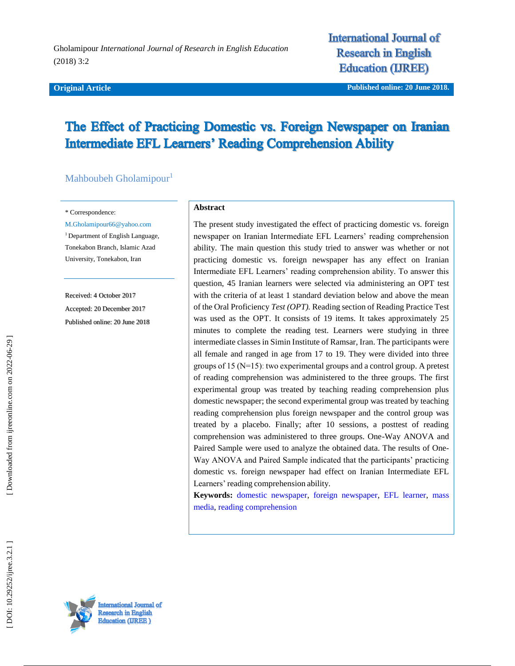#### **Original Article**

**International Journal of Research in English Education (IREE)** 

**iginal Article Published online : 20 June 2018 .**

# The Effect of Practicing Domestic vs. Foreign Newspaper on Iranian **Intermediate EFL Learners' Reading Comprehension Ability**

Mahboubeh Gholamipour<sup>1</sup>

\* Correspondence:

M.Gholamipour66@yahoo.com

<sup>1</sup> Department of English Language, Tonekabon Branch , Islamic Azad University, Tonekabon, Iran

Received: 4 October 201 7 Accepted: 20 Decembe r 201 7 Published online : 20 June 2018

#### **Abstract**

The present study investigated the effect of practicing domestic vs. foreign newspaper on Iranian Intermediate EFL Learners' reading comprehension ability. The main question this study tried to answer was whether or not practicing domestic vs. foreign newspaper has any effect on Iranian Intermediate EFL Learners' reading comprehension ability. To answer this question, 45 Iranian learners were selected via administering an OPT test with the criteria of at least 1 standard deviation below and above the mean of the Oral Proficiency *Test (OPT).* Reading section of Reading Practice Test was used as the OPT. It consists of 19 items. It takes approximately 25 minutes to complete the reading test. Learners were studying in three intermediate classes in Simin Institute of Ramsar, Iran. The participants were all female and ranged in age from 17 to 19. They were divided into three groups of 15 (N=15)ː two experimental groups and a control group. A pretest of reading comprehension was administered to the three groups. The first experimental group was treated by teaching reading comprehension plus domestic newspaper; the second experimental group was treated by teaching reading comprehension plus foreign newspaper and the control group was treated by a placebo. Finally; after 10 sessions, a posttest of reading comprehension was administered to three groups. One -Way ANOVA and Paired Sample were used to analyze the obtained data. The results of One - Way ANOVA and Paired Sample indicated that the participants' practicing domestic vs. foreign newspaper had effect on Iranian Intermediate EFL Learners' reading comprehension ability.

**Keywords:** [domestic newspaper,](https://ijreeonline.com/search.php?sid=1&slc_lang=en&key=domestic+newspaper) [foreign newspaper,](https://ijreeonline.com/search.php?sid=1&slc_lang=en&key=foreign+newspaper) [EFL learner,](https://ijreeonline.com/search.php?sid=1&slc_lang=en&key=EFL+learner) [mass](https://ijreeonline.com/search.php?sid=1&slc_lang=en&key=mass+media)  [media,](https://ijreeonline.com/search.php?sid=1&slc_lang=en&key=mass+media) [reading comprehension](https://ijreeonline.com/search.php?sid=1&slc_lang=en&key=reading+comprehension)

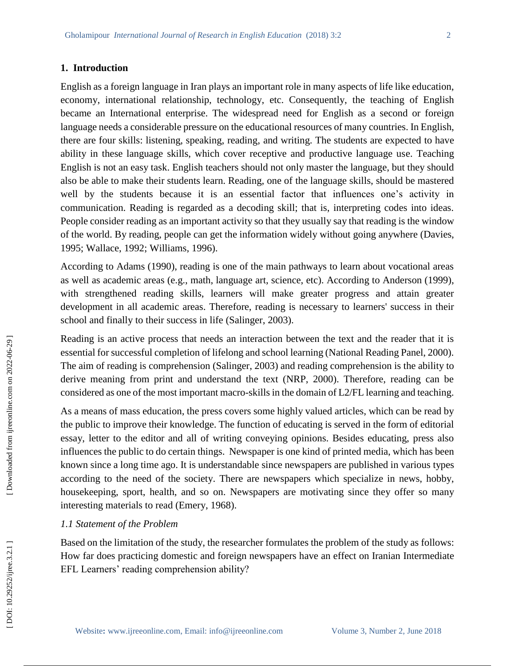#### **1. Introduction**

English as a foreign language in Iran plays an important role in many aspects of life like education, economy, international relationship, technology, etc. Consequently, the teaching of English became an International enterprise. The widespread need for English as a second or foreign language needs a considerable pressure on the educational resources of many countries. In English, there are four skills: listening, speaking, reading , and writing. The students are expected to have ability in these language skills, which cover receptive and productive language use. Teaching English is not an easy task. English teachers should not only master the language, but they should also be able to make their students learn. Reading, one of the language skills, should be mastered well by the students because it is an essential factor that influences one's activity in communication. Reading is regarded as a decoding skill; that is, interpreting codes into ideas. People consider reading as an important activity so that they usually say that reading is the window of the world. By reading, people can get the information widely without going anywhere (Davies , 1995; Wallace , 1992; Williams , 1996).

According to Adams (1990), reading is one of the main pathways to learn about vocational areas as well as academic areas (e.g., math, language art, science, etc). According to Anderson (1999), with strengthened reading skills, learners will make greater progress and attain greater development in all academic areas. Therefore, reading is necessary to learners' success in their school and finally to their success in life (Salinger, 2003).

Reading is an active process that needs an interaction between the text and the reader that it is essential for successful completion of lifelong and school learning (National Reading Panel, 2000). The aim of reading is comprehension (Salinger, 2003) and reading comprehension is the ability to derive meaning from print and understand the text (NRP, 2000). Therefore, reading can be considered as one of the most important macro -skills in the domain of L2/FL learning and teaching.

As a means of mass education, the press covers some highly valued articles, which can be read by the public to improve their knowledge. The function of educating is served in the form of editorial essay, letter to the editor and all of writing conveying opinions. Besides educating, press also influences the public to do certain things . Newspaper is one kind of printed media, which has been known since a long time ago. It is understandable since newspapers are published in various types according to the need of the society. There are newspapers which specialize in news, hobby, housekeeping, sport, health, and so on. Newspapers are motivating since they offer so many interesting materials to read (Emery, 1968).

#### *1.1 Statement of the Problem*

Based on the limitation of the study, the researcher formulates the problem of the study as follows: How far does practicing domestic and foreign newspapers have an effect on Iranian Intermediate EFL Learners' reading comprehension ability?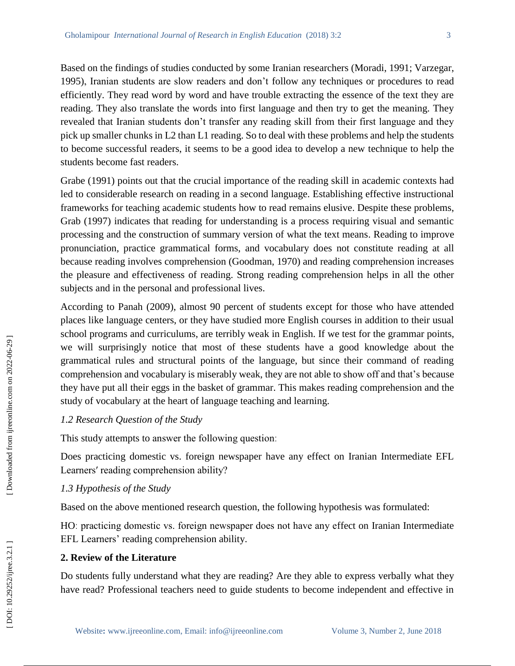Based on the findings of studies conducted by some Iranian researchers (Moradi, 1991; Varzegar, 1995), Iranian students are slow readers and don't follow any techniques or procedures to read efficiently. They read word by word and have trouble extracting the essence of the text they are reading. They also translate the words into first language and then try to get the meaning. They revealed that Iranian students don't transfer any reading skill from their first language and they pick up smaller chunks in L2 than L1 reading. So to deal with these problems and help the students to become successful readers , it seems to be a good idea to develop a new technique to help the students become fast readers.

Grabe (1991) points out that the crucial importance of the reading skill in academic contexts had led to considerable research on reading in a second language. Establishing effective instructional frameworks for teaching academic students how to read remains elusive. Despite these problems , Grab (1997) indicates that reading for understanding is a process requiring visual and semantic processing and the construction of summary version of what the text means. Reading to improve pronunciation, practice grammatical forms, and vocabulary does not constitute reading at all because reading involves comprehension (Goodman, 1970) and reading comprehension increases the pleasure and effectiveness of reading. Strong reading comprehension helps in all the other subjects and in the personal and professional lives.

According to Panah (2009 ), almost 90 percent of students except for those who have attended places like language centers, or they have studied more English courses in addition to their usual school programs and curriculums, are terribly weak in English. If we test for the grammar points, we will surprisingly notice that most of these students have a good knowledge about the grammatical rules and structural points of the language, but since their command of reading comprehension and vocabulary is miserably weak, they are not able to show off and that's because they have put all their eggs in the basket of grammar. This makes reading comprehension and the study of vocabulary at the heart of language teaching and learning.

## *1.2 Research Question of the Study*

This study attempts to answer the following questionː

Does practicing domestic vs. foreign newspaper have any effect on Iranian Intermediate EFL Learners' reading comprehension ability?

## *1.3 Hypothesis of the Study*

Based on the above mentioned research question , the following hypothesis was formulated:

HOː practicing domestic vs. foreign newspaper does not have any effect on Iranian Intermediate EFL Learners' reading comprehension ability.

# **2. Review of the Literature**

Do students fully understand what they are reading? Are they able to express verbally what they have read? Professional teachers need to guide students to become independent and effective in

Downloaded from ijreeonline.com on 2022-06-29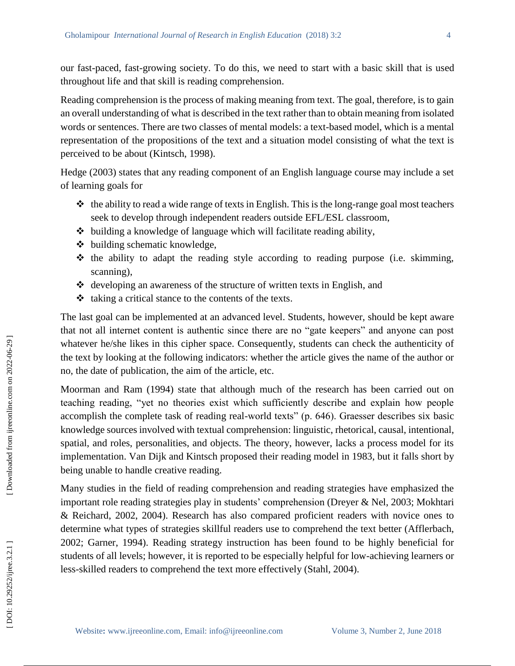our fast -paced, fast -growing society. To do this , we need to start with a basic skill that is used throughout life and that skill is reading comprehension.

Reading comprehension is the process of making meaning from text. The goal, therefore, is to gain an overall understanding of what is described in the text rather than to obtain meaning from isolated words or sentences. There are two classes of mental models: a text -based model, which is a mental representation of the propositions of the text and a situation model consisting of what the text is perceived to be about (Kintsch, 1998).

Hedge (2003) states that any reading component of an English language course may include a set of learning goals for

- $\triangleleft$  the ability to read a wide range of texts in English. This is the long-range goal most teachers seek to develop through independent readers outside EFL/ESL classroom,
- $\triangleleft$  building a knowledge of language which will facilitate reading ability,
- building schematic knowledge,
- $\triangle$  the ability to adapt the reading style according to reading purpose (i.e. skimming, scanning) ,
- $\triangleleft$  developing an awareness of the structure of written texts in English, and
- $\triangleleft$  taking a critical stance to the contents of the texts.

The last goal can be implemented at an advanced level. Students, however, should be kept aware that not all internet content is authentic since there are no "gate keepers" and anyone can post whatever he/she likes in this cipher space. Consequently, students can check the authenticity of the text by looking at the following indicators: whether the article gives the name of the author or no, the date of publication, the aim of the article, etc.

Moorman and Ram (1994) state that although much of the research has been carried out on teaching reading, "yet no theories exist which sufficiently describe and explain how people accomplish the complete task of reading real -world texts" (p. 646). Graesser describes six basic knowledge sources involved with textual comprehension: linguistic, rhetorical, causal, intentional, spatial, and roles, personalities, and objects. The theory, however, lacks a process model for its implementation. Van Dijk and Kintsch proposed their reading model in 1983, but it falls short by being unable to handle creative reading.

Many studies in the field of reading comprehension and reading strategies have emphasized the important role reading strategies play in students' comprehension (Dreyer & Nel, 2003; Mokhtari & Reichard, 2002, 2004). Research has also compared proficient readers with novice ones to determine what types of strategies skillful readers use to comprehend the text better (Afflerbach, 2002; Garner, 1994). Reading strategy instruction has been found to be highly beneficial for students of all levels; however, it is reported to be especially helpful for low -achieving learners or less -skilled readers to comprehend the text more effectively (Stahl, 2004).

Downloaded from ijreeonline.com on 2022-06-29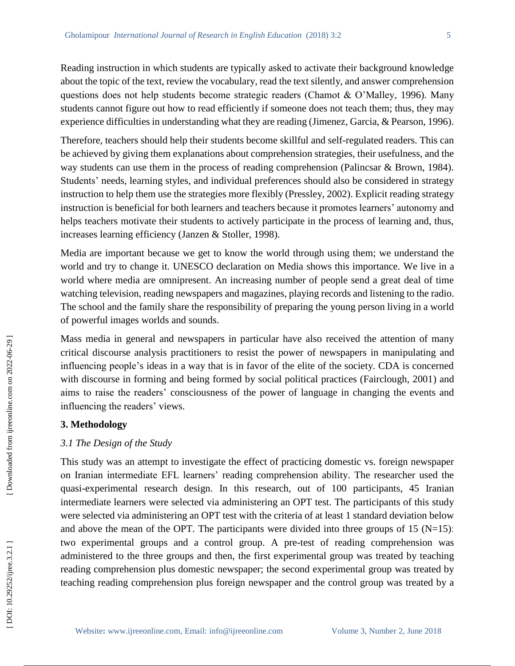Reading instruction in which students are typically asked to activate their background knowledge about the topic of the text, review the vocabulary, read the text silently, and answer comprehension questions does not help students become strategic readers (Chamot & O'Malley, 1996). Many students cannot figure out how to read efficiently if someone does not teach them; thus, they may experience difficulties in understanding what they are reading (Jimenez, Garcia, & Pearson, 1996).

Therefore, teachers should help their students become skillful and self-regulated readers. This can be achieved by giving them explanations about comprehension strategies, their usefulness, and the way students can use them in the process of reading comprehension (Palincsar & Brown, 1984). Students' needs, learning styles, and individual preferences should also be considered in strategy instruction to help them use the strategies more flexibly (Pressley, 2002). Explicit reading strategy instruction is beneficial for both learners and teachers because it promotes learners' autonomy and helps teachers motivate their students to actively participate in the process of learning and, thus, increases learning efficiency (Janzen & Stoller, 1998).

Media are important because we get to know the world through using them; we understand the world and try to change it. UNESCO declaration on Media shows this importance. We live in a world where media are omnipresent. An increasing number of people send a great deal of time watching television, reading newspapers and magazines, playing records and listening to the radio. The school and the family share the responsibility of preparing the young person living in a world of powerful images worlds and sounds .

Mass media in general and newspapers in particular have also received the attention of many critical discourse analysis practitioners to resist the power of newspapers in manipulating and influencing people's ideas in a way that is in favor of the elite of the society. CDA is concerned with discourse in forming and being formed by social political practices (Fairclough, 2001) and aims to raise the readers' consciousness of the power of language in changing the events and influencing the readers' views.

#### **3. Methodology**

## *3.1 The Design of the Study*

This study was an attempt to investigate the effect of practicing domestic vs. foreign newspaper on Iranian intermediate EFL learners' reading comprehension ability. The researcher used the quasi -experimental research design. In this research, out of 100 participants , 45 Iranian intermediate learners were selected via administering an OPT test. The participants of this study were selected via administering an OPT test with the criteria of at least 1 standard deviation below and above the mean of the OPT. The participants were divided into three groups of 15 ( $N=15$ ): two experimental groups and a control group. A pre -test of reading comprehension was administered to the three groups and then, the first experimental group was treated by teaching reading comprehension plus domestic newspaper; the second experimental group was treated by teaching reading comprehension plus foreign newspaper and the control group was treated by a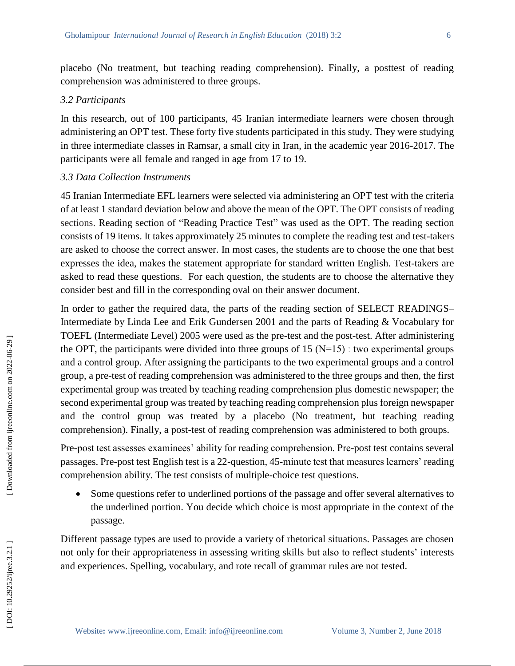placebo (No treatment, but teaching reading comprehension). Finally, a posttest of reading comprehension was administered to three groups.

#### *3.2 Participants*

In this research, out of 100 participants, 45 Iranian intermediate learners were chosen through administering an OPT test. These forty five students participated in this study. They were studying in three intermediate classes in Ramsar, a small city in Iran, in the academic year 2016 -2017. The participants were all female and ranged in age from 17 to 19.

#### *3.3 Data Collection Instruments*

45 Iranian Intermediate EFL learners were selected via administering an OPT test with the criteria of at least 1 standard deviation below and above the mean of the OPT. The OPT consists of reading sections. Reading section of "Reading Practice Test" was used as the OPT. The reading section consists of 19 items. It takes approximately 25 minutes to complete the reading test and test -takers are asked to choose the correct answer. In most cases, the students are to choose the one that best expresses the idea, makes the statement appropriate for standard written English. Test -takers are asked to read these questions. For each question, the students are to choose the alternative they consider best and fill in the corresponding oval on their answer document.

In order to gather the required data, the parts of the reading section of SELECT READINGS-Intermediate by Linda Lee and Erik Gundersen 2001 and the parts of Reading & Vocabulary for TOEFL (Intermediate Level) 2005 were used as the pre -test and the post -test. After administering the OPT, the participants were divided into three groups of  $15 (N=15)$  : two experimental groups and a control group. After assigning the participants to the two experimental groups and a control group, a pre -test of reading comprehension was administered to the three groups and then, the first experimental group was treated by teaching reading comprehension plus domestic newspaper; the second experimental group was treated by teaching reading comprehension plus foreign newspaper and the control group was treated by a placebo (No treatment, but teaching reading comprehension). Finally, a post -test of reading comprehension was administered to both groups.

Pre -post test assesses examinees' ability for reading comprehension. Pre -post test contains several passages. Pre -post test English test is a 22 -question, 4 5 -minute test that measures learners' reading comprehension ability. The test consists of multiple -choice test questions.

 Some questions refer to underlined portions of the passage and offer several alternatives to the underlined portion. You decide which choice is most appropriate in the context of the passage.

Different passage types are used to provide a variety of rhetorical situations. Passages are chosen not only for their appropriateness in assessing writing skills but also to reflect students' interests and experiences. Spelling, vocabulary, and rote recall of grammar rules are not tested.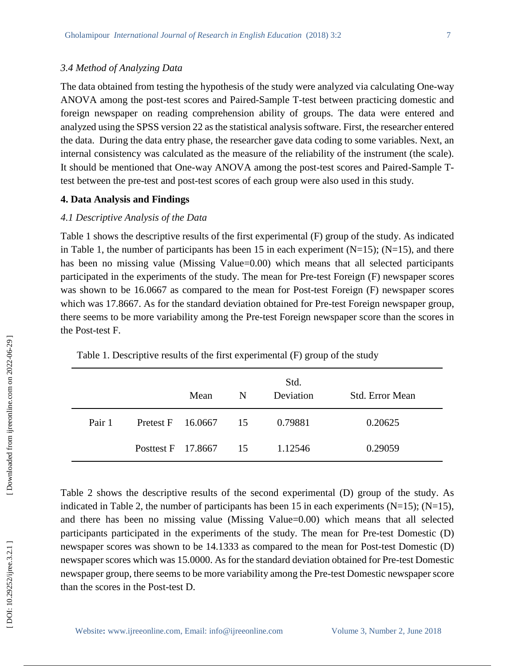#### *3.4 Method of Analyzing Data*

The data obtained from testing the hypothesis of the study were analyzed via calculating One -way ANOVA among the post -test scores and Paired -Sample T -test between practicing domestic and foreign newspaper on reading comprehension ability of groups. The data were entered and analyzed using the SPSS version 22 as the statistical analysis software. First, the researcher entered the data. During the data entry phase, the researcher gave data coding to some variables. Next, an internal consistency was calculated as the measure of the reliability of the instrument (the scale). It should be mentioned that One-way ANOVA among the post-test scores and Paired-Sample Ttest between the pre -test and post -test scores of each group were also used in this study.

#### **4. Data Analysis and Findings**

## *4.1 Descriptive Analysis of the Data*

Table 1 shows the descriptive results of the first experimental (F) group of the study . As indicated in Table 1, the number of participants has been 15 in each experiment  $(N=15)$ ;  $(N=15)$ , and there has been no missing value (Missing Value=0.00) which means that all selected participants participated in the experiments of the study. The mean for Pre -test Foreign (F) newspaper scores was shown to be 16.0667 as compared to the mean for Post -test Foreign (F) newspaper scores which was 17.8667. As for the standard deviation obtained for Pre -test Foreign newspaper group, there seems to be more variability among the Pre -test Foreign newspaper score than the scores in the Post -test F.

|        |                       | Mean                 | N | Std.<br>Deviation | Std. Error Mean |
|--------|-----------------------|----------------------|---|-------------------|-----------------|
| Pair 1 |                       | Pretest F 16.0667 15 |   | 0.79881           | 0.20625         |
|        | Posttest F 17.8667 15 |                      |   | 1.12546           | 0.29059         |

Table 1 . Descriptive results of the first experimental (F) group of the study

Table 2 shows the descriptive results of the second experimental (D) group of the study . As indicated in Table 2, the number of participants has been 15 in each experiments  $(N=15)$ ;  $(N=15)$ , and there has been no missing value (Missing Value=0.00) which means that all selected participants participated in the experiments of the study. The mean for Pre -test Domestic (D) newspaper scores was shown to be 14.1333 as compared to the mean for Post-test Domestic (D) newspaper scores which was 15.0000. As for the standard deviation obtained for Pre -test Domesti c newspaper group, there seems to be more variability among the Pre -test Domestic newspaper score than the scores in the Post -test D.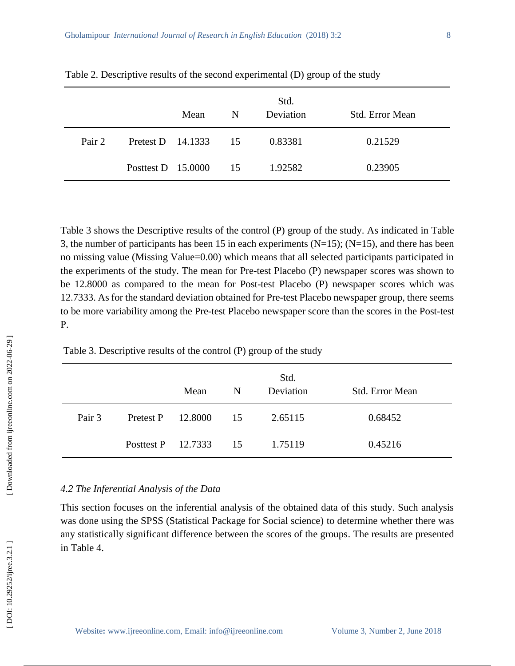|        |                      | Mean | N  | Std.<br>Deviation | <b>Std. Error Mean</b> |
|--------|----------------------|------|----|-------------------|------------------------|
| Pair 2 | Pretest D 14.1333 15 |      |    | 0.83381           | 0.21529                |
|        | Posttest D $15.0000$ |      | 15 | 1.92582           | 0.23905                |

Table 2 . Descriptive results of the second experimental (D) group of the study

Table 3 shows the Descriptive results of the control (P) group of the study . As indicated in Table 3, the number of participants has been 15 in each experiments  $(N=15)$ ;  $(N=15)$ , and there has been no missing value (Missing Value=0.00) which means that all selected participants participated in the experiments of the study. The mean for Pre -test Placebo (P) newspaper scores was shown to be 12.8000 as compared to the mean for Post -test Placebo (P) newspaper scores which was 12.7333. As for the standard deviation obtained for Pre -test Placebo newspaper group, there seems to be more variability among the Pre -test Placebo newspaper score than the scores in the Post -test P.

Table 3 . Descriptive results of the control (P) group of the study

|        |                      | Mean    | N  | Std.<br>Deviation | <b>Std. Error Mean</b> |
|--------|----------------------|---------|----|-------------------|------------------------|
| Pair 3 | Pretest P            | 12.8000 | 15 | 2.65115           | 0.68452                |
|        | Posttest P $12.7333$ |         | 15 | 1.75119           | 0.45216                |

## *4.2 The Inferential Analysis of the Data*

This section focuses on the inferential analysis of the obtained data of this study. Such analysis was done using the SPSS (Statistical Package for Social science) to determine whether there was any statistically significant difference between the scores of the groups. The results are presented in Table 4 .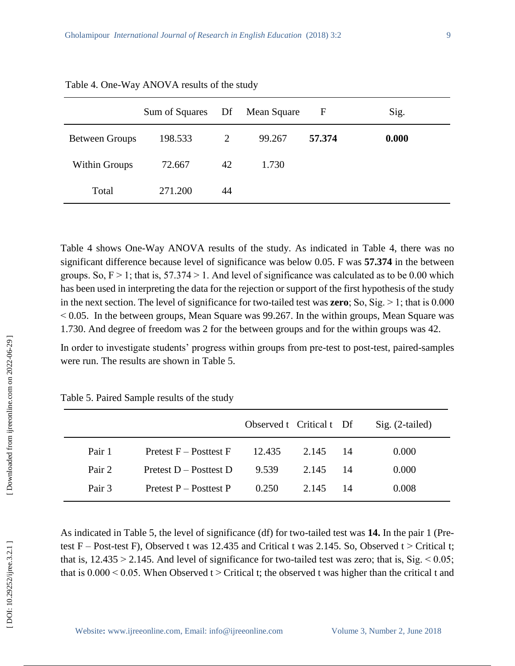|                       | Sum of Squares Df Mean Square |    |        | $\mathbf F$ | Sig.  |
|-----------------------|-------------------------------|----|--------|-------------|-------|
| <b>Between Groups</b> | 198.533                       | 2  | 99.267 | 57.374      | 0.000 |
| <b>Within Groups</b>  | 72.667                        | 42 | 1.730  |             |       |
| Total                 | 271.200                       | 44 |        |             |       |

Table 4 . One -Way ANOVA results of the study

Table 4 shows One-Way ANOVA results of the study. As indicated in Table 4, there was no significant difference because level of significance was below 0.05. F was **57.374** in the between groups. So,  $F > 1$ ; that is, 57.374 > 1. And level of significance was calculated as to be 0.00 which has been used in interpreting the data for the rejection or support of the first hypothesis of the study in the next section. The level of significance for two-tailed test was **zero**; So, Sig. > 1; that is 0.000  $< 0.05$ . In the between groups, Mean Square was 99.267. In the within groups, Mean Square was 1.730. And degree of freedom was 2 for the between groups and for the within groups was 42.

In order to investigate students' progress within groups from pre-test to post-test, paired-samples were run. The results are shown in Table 5.

|        |                            | Observed t Critical t Df |       |    | $Sig. (2-tailed)$ |
|--------|----------------------------|--------------------------|-------|----|-------------------|
| Pair 1 | Pretest $F -$ Posttest $F$ | 12.435                   | 2.145 | 14 | 0.000             |
| Pair 2 | Pretest $D -$ Posttest $D$ | 9.539                    | 2.145 | 14 | 0.000             |
| Pair 3 | Pretest $P -$ Posttest P   | 0.250                    | 2.145 | 14 | 0.008             |
|        |                            |                          |       |    |                   |

| Table 5. Paired Sample results of the study |  |  |  |  |  |
|---------------------------------------------|--|--|--|--|--|
|---------------------------------------------|--|--|--|--|--|

As indicated in Table 5, the level of significance (df) for two -tailed test was **14.** In the pair 1 (Pre test  $F - Post-test F$ ), Observed t was 12.435 and Critical t was 2.145. So, Observed t > Critical t; that is,  $12.435 > 2.145$ . And level of significance for two-tailed test was zero; that is, Sig.  $\leq 0.05$ ; that is  $0.000 \le 0.05$ . When Observed t  $>$  Critical t; the observed t was higher than the critical t and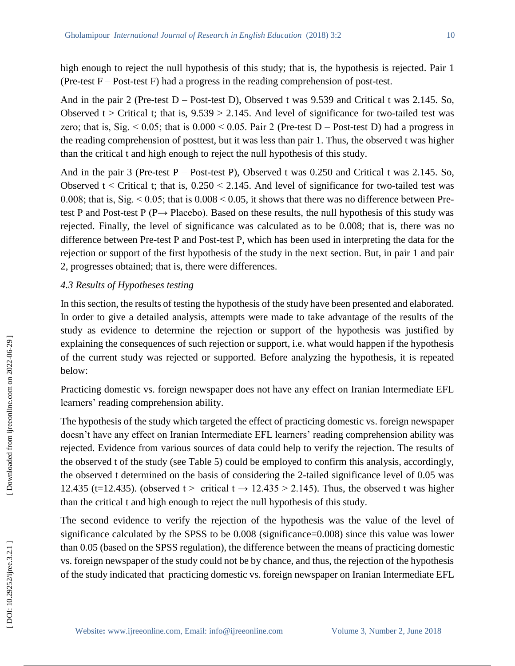high enough to reject the null hypothesis of this study; that is, the hypothesis is rejected. Pair 1 (Pre-test  $F - Post$ -test  $F$ ) had a progress in the reading comprehension of post-test.

And in the pair 2 (Pre-test D – Post-test D), Observed t was 9.539 and Critical t was 2.145. So, Observed  $t >$  Critical t; that is,  $9.539 > 2.145$ . And level of significance for two-tailed test was zero; that is, Sig.  $\leq 0.05$ ; that is  $0.000 \leq 0.05$ . Pair 2 (Pre-test D – Post-test D) had a progress in the reading comprehension of posttest, but it was less than pair 1. Thus, the observed t was higher than the critical t and high enough to reject the null hypothesis of this study.

And in the pair 3 (Pre-test P – Post-test P), Observed t was 0.250 and Critical t was 2.145. So, Observed  $t <$  Critical t; that is,  $0.250 < 2.145$ . And level of significance for two-tailed test was 0.008; that is, Sig.  $\leq$  0.05; that is 0.008  $\leq$  0.05, it shows that there was no difference between Pretest P and Post-test  $P(P \rightarrow Placebo)$ . Based on these results, the null hypothesis of this study was rejected. Finally, the level of significance was calculated as to be 0.008; that is, there was no difference between Pre -test P and Post -test P, which has been used in interpreting the data for the rejection or support of the first hypothesis of the study in the next section. But, in pair 1 and pair 2, progresses obtained; that is, there were differences.

## *4.3 Results of Hypotheses testing*

In this section, the results of testing the hypothesis of the study have been presented and elaborated. In order to give a detailed analysis, attempts were made to take advantage of the results of the study as evidence to determine the rejection or support of the hypothesis was justified by explaining the consequences of such rejection or support, i.e. what would happen if the hypothesis of the current study was rejected or supported. Before analyzing the hypothesis, it is repeated below:

Practicing domestic vs. foreign newspaper does not have any effect on Iranian Intermediate EFL learners' reading comprehension ability.

The hypothesis of the study which targeted the effect of practicing domestic vs. foreign newspaper doesn't have any effect on Iranian Intermediate EFL learners' reading comprehension ability was rejected. Evidence from various sources of data could help to verify the rejection. The results of the observed t of the study (see Table 5) could be employed to confirm this analysis, accordingly, the observed t determined on the basis of considering the 2 -tailed significance level of 0.05 was 12.435 (t=12.435). (observed t > critical t  $\rightarrow$  12.435 > 2.145). Thus, the observed t was higher than the critical t and high enough to reject the null hypothesis of this study.

The second evidence to verify the rejection of the hypothesis was the value of the level of significance calculated by the SPSS to be 0.008 (significance=0.008) since this value was lower than 0.05 (based on the SPSS regulation), the difference between the means of practicing domestic vs. foreign newspaper of the study could not be by chance, and thus, the rejection of the hypothesis of the study indicated that practicing domestic vs. foreign newspaper on Iranian Intermediate EFL

Downloaded from ijreeonline.com on 2022-06-29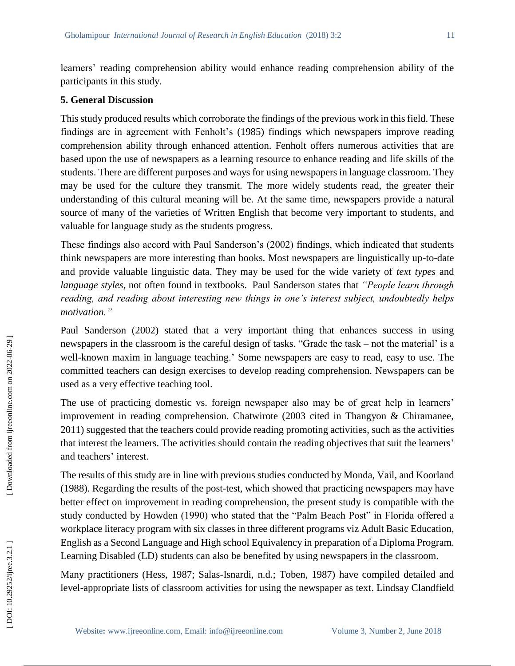learners' reading comprehension ability would enhance reading comprehension ability of the participants in this study.

## **5. General Discussion**

This study produced results which corroborate the findings of the previous work in this field. These findings are in agreement with Fenholt's (1985) findings which newspapers improve reading comprehension ability through enhanced attention. Fenholt offers numerous activities that are based upon the use of newspapers as a learning resource to enhance reading and life skills of the students. There are different purposes and ways for using newspapers in language classroom. They may be used for the culture they transmit. The more widely students read, the greater their understanding of this cultural meaning will be. At the same time, newspapers provide a natural source of many of the varieties of Written English that become very important to students, and valuable for language study as the students progress.

These findings also accord with Paul Sanderson's (2002) findings, which indicated that students think newspapers are more interesting than books. Most newspapers are linguistically up -to -date and provide valuable linguistic data. They may be used for the wide variety of *text types* and *language styles*, not often found in textbooks. Paul Sanderson states that *"People learn through reading, and reading about interesting new things in one's interest subject, undoubtedly helps motivation."*

Paul Sanderson (2002) stated that a very important thing that enhances success in using newspapers in the classroom is the careful design of tasks. "Grade the task – not the material' is a well -known maxim in language teaching.' Some newspapers are easy to read, easy to use. The committed teachers can design exercises to develop reading comprehension. Newspapers can be used as a very effective teaching tool.

The use of practicing domestic vs. foreign newspaper also may be of great help in learners' improvement in reading comprehension. Chatwirote (2003 cited in Thangyon & Chiramanee, 2011) suggested that the teachers could provide reading promoting activities, such as the activities that interest the learners. The activities should contain the reading objectives that suit the learners' and teacher s ' interest.

The results of this study are in line with previous studies conducted by Monda, Vail , and Koorland (1988). Regarding the results of the post -test, which showed that practicing newspapers may have better effect on improvement in reading comprehension, the present study is compatible with the study conducted by Howden (1990) who stated that the "Palm Beach Post" in Florida offered a workplace literacy program with six classes in three different programs viz Adult Basic Education, English as a Second Language and High school Equivalency in preparation of a Diploma Program. Learning Disabled (LD) students can also be benefited by using newspapers in the classroom.

Many practitioners (Hess, 1987; Salas -Isnardi, n.d.; Toben, 1987) have compiled detailed and level -appropriate lists of classroom activities for using the newspaper as text. Lindsay Clandfield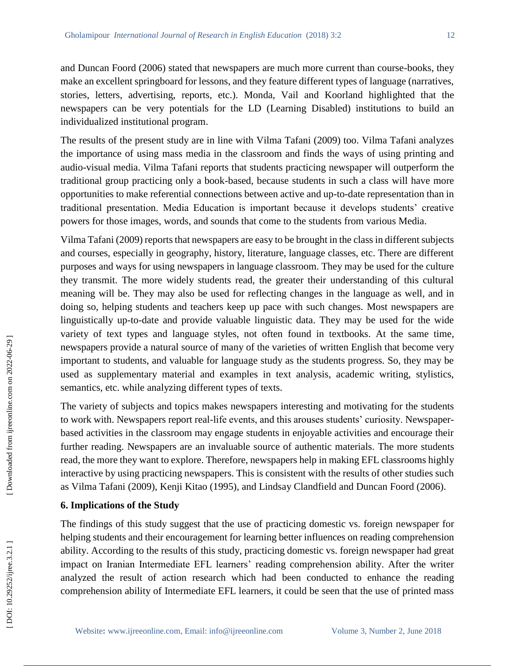and Duncan Foord (2006) stated that newspapers are much more current than course -books, they make an excellent springboard for lessons, and they feature different types of language (narratives, stories, letters, advertising, reports, etc.). Monda, Vail and Koorland highlighted that the newspapers can be very potentials for the LD (Learning Disabled) institutions to build an individualized institutional program.

The results of the present study are in line with Vilma Tafani (2009) too. Vilma Tafani analyzes the importance of using mass media in the classroom and finds the ways of using printing and audio -visual media. Vilma Tafani report s that students practicing newspaper will outperform the traditional group practicing only a book -based, because students in such a class will have more opportunities to make referential connections between active and up -to -date representation than in traditional presentation. Media Education is important because it develops students' creative powers for those images, words , and sounds that come to the students from various Media.

Vilma Tafani (2009) reports that newspapers are easy to be brought in the class in different subjects and courses, especially in geography, history, literature, language classes, etc. There are different purposes and ways for using newspapers in language classroom. They may be used for the culture they transmit. The more widely students read, the greater their understanding of this cultural meaning will be. They may also be used for reflecting changes in the language as well, and in doing so, helping students and teachers keep up pace with such changes. Most newspapers are linguistically up -to -date and provide valuable linguistic data. They may be used for the wide variety of text types and language styles, not often found in textbooks. At the same time, newspapers provide a natural source of many of the varieties of written English that become very important to students, and valuable for language study as the students progress. So, they may be used as supplementary material and examples in text analysis, academic writing, stylistics, semantics, etc. while analyzing different types of texts.

The variety of subjects and topics makes newspapers interesting and motivating for the students to work with. Newspapers report real-life events, and this arouses students' curiosity. Newspaperbased activities in the classroom may engage students in enjoyable activities and encourage their further reading. Newspapers are an invaluable source of authentic materials. The more students read, the more they want to explore. Therefore, newspapers help in making EFL classrooms highly interactive by using practicing newspapers. This is consistent with the results of other studies such as Vilma Tafani (2009), Kenji Kitao (1995) , and Lindsay Clandfield and Duncan Foord (2006).

#### **6. Implication s of the Study**

The finding s of this study suggest that the use of practicing domestic vs. foreign newspaper for helping students and their encouragement for learning better influence s on reading comprehension ability . According to the results of this study , practicing domestic vs. foreign newspaper had great impact on Iranian Intermediate EFL learners' reading comprehension ability. After the writer analyzed the result of action research which had been conducted to enhance the reading comprehension ability of Intermediate EFL learners, it could be seen that the use of printed mass

DOI: 10.29252/ijree.3.2.1]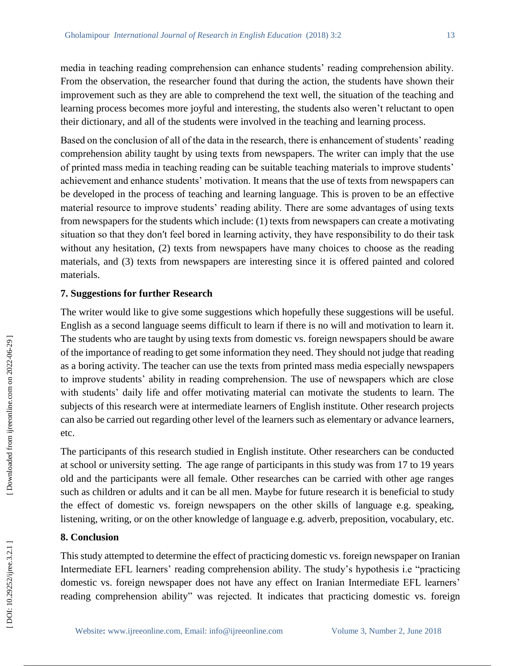media in teaching reading comprehension can enhance students' reading comprehension ability. From the observation, the researcher found that during the action, the students have shown their improvement such as they are able to comprehend the text well, the situation of the teaching and learning process becomes more joyful and interesting, the students also weren't reluctant to open their dictionary, and all of the students were involved in the teaching and learning process.

Based on the conclusion of all of the data in the research, there is enhancement of students' reading comprehension ability taught by using texts from newspapers. The writer can imply that the use of printed mass media in teaching reading can be suitable teaching materials to improve students' achievement and enhance students' motivation. It means that the use of texts from newspapers can be developed in the process of teaching and learning language. This is proven to be an effective material resource to improve students' reading ability. There are some advantages of using texts from newspapers for the students which include: (1) texts from newspapers can create a motivating situation so that they don′t feel bored in learning activity, they have responsibility to do their task without any hesitation, (2) texts from newspapers have many choices to choose as the reading materials, and (3) texts from newspapers are interesting since it is offered painted and colored materials.

#### **7. Suggestion s for further Research**

The writer would like to give some suggestions which hopefully these suggestions will be useful. English as a second language seems difficult to learn if there is no will and motivation to learn it. The students who are taught by using texts from domestic vs. foreign newspapers should be aware of the importance of reading to get some information they need. They should not judge that reading as a boring activity. The teacher can use the texts from printed mass media especially newspapers to improve students' ability in reading comprehension. The use of newspapers which are close with students' daily life and offer motivating material can motivate the students to learn. The subjects of this research were at intermediate learners of English institute. Other research projects can also be carried out regarding other level of the learners such as elementary or advance learners, etc.

The participants of this research studied in English institute. Other researchers can be conducted at school or university setting. The age range of participants in this study was from 17 to 19 years old and the participants were all female. Other researches can be carried with other age ranges such as children or adults and it can be all men. Maybe for future research it is beneficial to study the effect of domestic vs. foreign newspapers on the other skills of language e.g. speaking, listening, writing, or on the other knowledge of language e.g. adverb, preposition, vocabulary, etc.

#### **8. Conclusion**

This study attempted to determine the effect of practicing domestic vs. foreign newspaper on Iranian Intermediate EFL learners' reading comprehension ability. The study's hypothesis i.e "practicing domestic vs. foreign newspaper does not have any effect on Iranian Intermediate EFL learners' reading comprehension ability" was rejected. It indicates that practicing domestic vs. foreign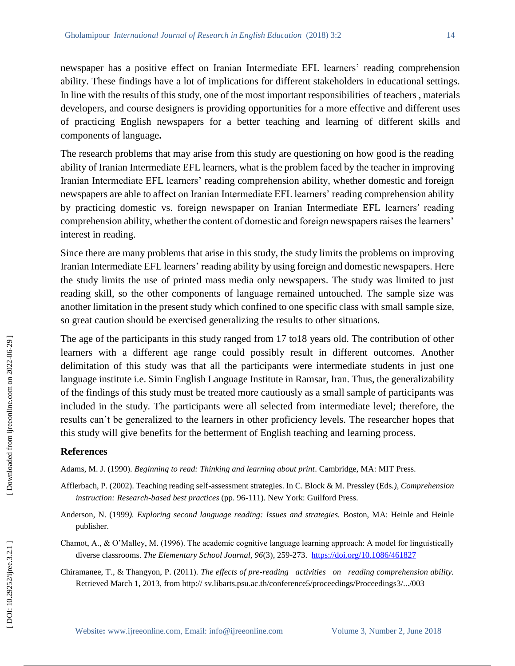newspaper has a positive effect on Iranian Intermediate EFL learners' reading comprehension ability. These findings have a lot of implication s for different stakeholders in educational settings. In line with the results of this study, one of the most important responsibilities of teachers , materials developers, and course designers is providing opportunities for a more effective and different uses of practicing English newspapers for a better teaching and learning of different skills and components of language **.**

The research problems that may arise from this study are questioning on how good is the reading ability of Iranian Intermediate EFL learners, what is the problem faced by the teacher in improving Iranian Intermediate EFL learners' reading comprehension ability, whether domestic and foreign newspapers are able to affect on Iranian Intermediate EFL learners' reading comprehension ability by practicing domestic vs. foreign newspaper on Iranian Intermediate EFL learnersʹ reading comprehension ability, whether the content of domestic and foreign newspapers raises the learners' interest in reading.

Since there are many problems that arise in this study, the study limits the problems on improving Iranian Intermediate EFL learners' reading ability by using foreign and domestic newspapers. Here the study limits the use of printed mass media only newspapers. The study was limited to just reading skill, so the other components of language remained untouched. The sample size was another limitation in the present study which confined to one specific class with small sample size, so great caution should be exercised generalizing the results to other situations.

The age of the participants in this study ranged from 17 to18 years old. The contribution of other learners with a different age range could possibly result in different outcomes. Another delimitation of this study was that all the participants were intermediate students in just one language institute i.e. Simin English Language Institute in Ramsar, Iran. Thus, the generalizability of the findings of this study must be treated more cautiously as a small sample of participants was included in the study. The participants were all selected from intermediate level; therefore, the results can't be generalized to the learners in other proficiency levels. The researcher hopes that this study will give benefit s for the betterment of English teaching and learning process.

### **References**

Adams, M. J. (1990). *Beginning to read: Thinking and learning about print*. Cambridge, MA: MIT Press.

- Afflerbach, P. (2002). Teaching reading self -assessment strategies. In C. Block & M. Pressley (Eds*.), Comprehension*  instruction: Research-based best practices (pp. 96-111). New York: Guilford Press.
- Anderson, N. (199 9*). Exploring second language reading: Issues and strategies.* Boston, MA: Heinle and Heinle publisher.
- Chamot, A., & O'Malley, M. (1996). The academic cognitive language learning approach: A model for linguistically diverse classrooms. *The Elementary School Journal, 96*(3), 259 -273. <https://doi.org/10.1086/461827>
- Chiramanee, T., & Thangyon, P. (2011). *The effects of pre -reading activities on reading comprehension ability.*  Retrieved March 1, 2013, from http:// sv.libarts.psu.ac.th/conference5/proceedings/Proceedings3/.../003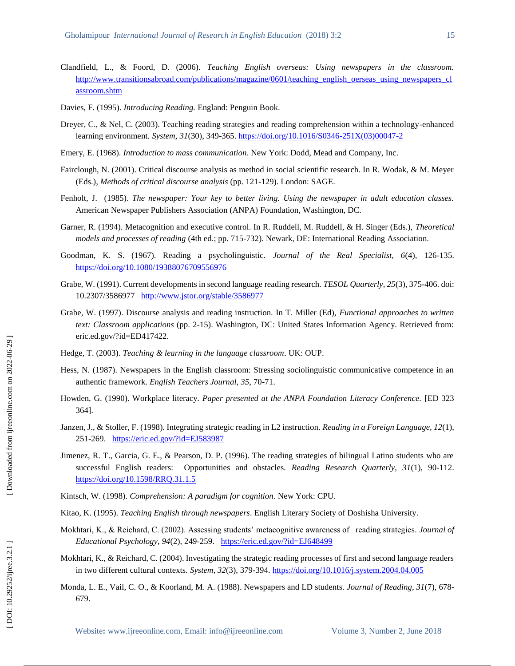- Clandfield, L., & Foord, D. (2006). *Teaching English overseas: Using newspapers in the classroom.* [http://www.transitionsabroad.com/publications/magazine/0601/teaching\\_english\\_oerseas\\_using\\_newspapers\\_cl](http://www.transitionsabroad.com/publications/magazine/0601/teaching_english_oe) [assroom.shtm](http://www.transitionsabroad.com/publications/magazine/0601/teaching_english_oe)
- Davies, F. (1995). *Introducing Reading.* England: Penguin Book.
- Dreyer, C., & Nel, C. (2003). Teaching reading strategies and reading comprehension within a technology-enhanced learning environment. *System, 31*(30), 349-365[. https://doi.org/10.1016/S0346](https://doi.org/10.1016/S0346-251X\(03\)00047-2)-251X(03)00047-2
- Emery, E. (1968). *Introduction to mass communication*. New York: Dodd, Mead and Company, Inc.
- Fairclough, N. (2001). Critical discourse analysis as method in social scientific research. In R. Wodak, & M. Meyer (Eds.), *Methods of critical discourse analysis* (pp. 121 -129). London: SAGE.
- Fenholt, J. (1985). *The newspaper: Your key to better living. Using the newspaper in adult education classes.* American Newspaper Publishers Association (ANPA) Foundation, Washington, DC.
- Garner, R. (1994). Metacognition and executive control. In R. Ruddell, M. Ruddell, & H. Singer (Eds.), *Theoretical models and processes of reading* (4th ed.; pp. 715 -732). Newark, DE: International Reading Association.
- Goodman, K. S. (1967). Reading a psycholinguistic. *Journal of the Real Specialist, 6*(4), 126 -135. <https://doi.org/10.1080/19388076709556976>
- Grabe, W. (1991). Current developments in second language reading research. *TESOL Quarterly, 25*(3), 375 -406. doi: 10.2307/3586977 <http://www.jstor.org/stable/3586977>
- Grabe, W. (1997). Discourse analysis and reading instruction. In T. Miller (Ed), *Functional approaches to written text: Classroom applications* (pp. 2 -15). Washington, DC: United States Information Agency. Retrieved from: eric.ed.gov/?id=ED417422.
- Hedge, T. (2003). *Teaching & learning in the language classroom*. UK: OUP.
- Hess, N. (1987). Newspapers in the English classroom: Stressing sociolinguistic communicative competence in an authentic framework. *English Teachers Journal, 35*, 70 -71.
- Howden, G. (1990). Workplace literacy. *Paper presented at the ANPA Foundation Literacy Conference.* [ED 323 364].
- Janzen, J., & Stoller, F. (1998). Integrating strategic reading in L2 instruction. *Reading in a Foreign Language, 12*(1), 251-269. <https://eric.ed.gov/?id=EJ583987>
- Jimenez, R. T., Garcia, G. E., & Pearson, D. P. (1996). The reading strategies of bilingual Latino students who are successful English readers: Opportunities and obstacles. *Reading Research Quarterly, 31*(1), 90 -112. <https://doi.org/10.1598/RRQ.31.1.5>
- Kintsch, W. (1998). *Comprehension: A paradigm for cognition*. New York: CPU.
- Kitao, K. (1995). *Teaching English through newspapers*. English Literary Society of Doshisha University.
- Mokhtari, K., & Reichard, C. (2002). Assessing students' metacognitive awareness of reading strategies*. Journal of*  Educational Psychology, 94(2), 249-259. [https://eric.ed.gov/?id=EJ64849](https://eric.ed.gov/?id=EJ648499)9
- Mokhtari, K., & Reichard, C. (2004). Investigating the strategic reading processes of first and second language readers in two different cultural contexts. *System, 32*(3), 379 -394.<https://doi.org/10.1016/j.system.2004.04.005>
- Monda, L. E., Vail, C. O., & Koorland, M. A. (1988). Newspapers and LD students. *Journal of Reading, 31*(7), 678 679.

DOI: 10.29252/ijree.3.2.1]